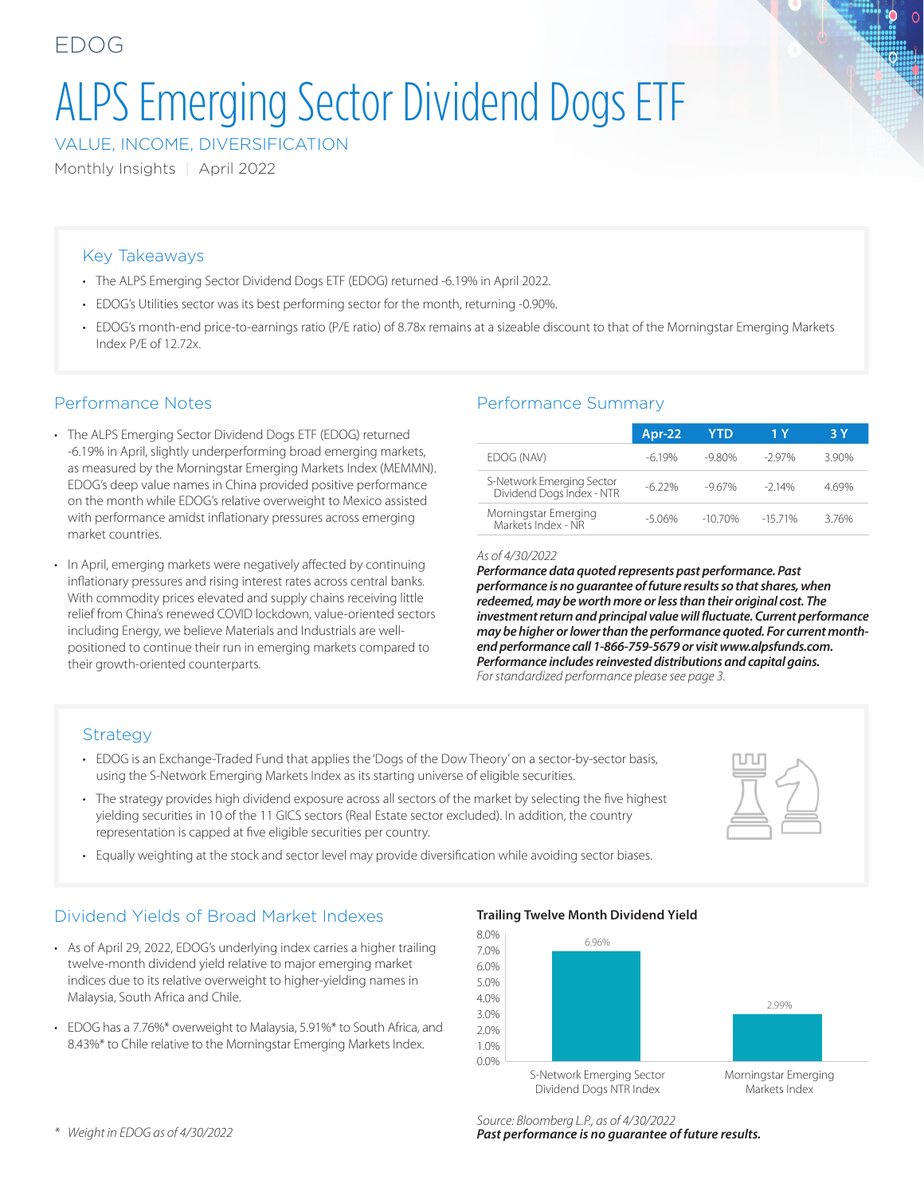# ALPS Emerging Sector Dividend Dogs ETF

VALUE, INCOME, DIVERSIFICATION

Monthly Insights | April 2022

#### Key Takeaways

- The ALPS Emerging Sector Dividend Dogs ETF (EDOG) returned -6.19% in April 2022.
- EDOG's Utilities sector was its best performing sector for the month, returning -0.90%.
- EDOG's month-end price-to-earnings ratio (P/E ratio) of 8.78x remains at a sizeable discount to that of the Morningstar Emerging Markets Index P/E of 12.72x.

### Performance Notes

- The ALPS Emerging Sector Dividend Dogs ETF (EDOG) returned -6.19% in April, slightly underperforming broad emerging markets, as measured by the Morningstar Emerging Markets Index (MEMMN). EDOG's deep value names in China provided positive performance on the month while EDOG's relative overweight to Mexico assisted with performance amidst inflationary pressures across emerging market countries.
- In April, emerging markets were negatively affected by continuing inflationary pressures and rising interest rates across central banks. With commodity prices elevated and supply chains receiving little relief from China's renewed COVID lockdown, value-oriented sectors including Energy, we believe Materials and Industrials are wellpositioned to continue their run in emerging markets compared to their growth-oriented counterparts.

### Performance Summary

|                                                        | $Apr-22$  | <b>YTD</b> | 1 Y      | 3 Y  |
|--------------------------------------------------------|-----------|------------|----------|------|
| EDOG (NAV)                                             | $-619%$   | $-9.80\%$  | $-297\%$ | 390% |
| S-Network Emerging Sector<br>Dividend Dogs Index - NTR | $-6.22%$  | $-967%$    | $-214%$  | 469% |
| Morningstar Emerging<br>Markets Index - NR             | $-5.06\%$ | $-10,70%$  | $-1571%$ | 376% |

*As of 4/30/2022*

*Performance data quoted represents past performance. Past performance is no guarantee of future results so that shares, when redeemed, may be worth more or less than their original cost. The investment return and principal value will fluctuate. Current performance may be higher or lower than the performance quoted. For current monthend performance call 1-866-759-5679 or visit www.alpsfunds.com. Performance includes reinvested distributions and capital gains. For standardized performance please see page 3.*

#### **Strategy**

- EDOG is an Exchange-Traded Fund that applies the 'Dogs of the Dow Theory' on a sector-by-sector basis, using the S-Network Emerging Markets Index as its starting universe of eligible securities.
- The strategy provides high dividend exposure across all sectors of the market by selecting the five highest yielding securities in 10 of the 11 GICS sectors (Real Estate sector excluded). In addition, the country representation is capped at five eligible securities per country.
- Equally weighting at the stock and sector level may provide diversification while avoiding sector biases.

## Dividend Yields of Broad Market Indexes

- As of April 29, 2022, EDOG's underlying index carries a higher trailing twelve-month dividend yield relative to major emerging market indices due to its relative overweight to higher-yielding names in Malaysia, South Africa and Chile.
- EDOG has a 7.76%\* overweight to Malaysia, 5.91%\* to South Africa, and 8.43%\* to Chile relative to the Morningstar Emerging Markets Index.

**Trailing Twelve Month Dividend Yield**



*\* Weight in EDOG as of 4/30/2022*

*Source: Bloomberg L.P., as of 4/30/2022 Past performance is no guarantee of future results.*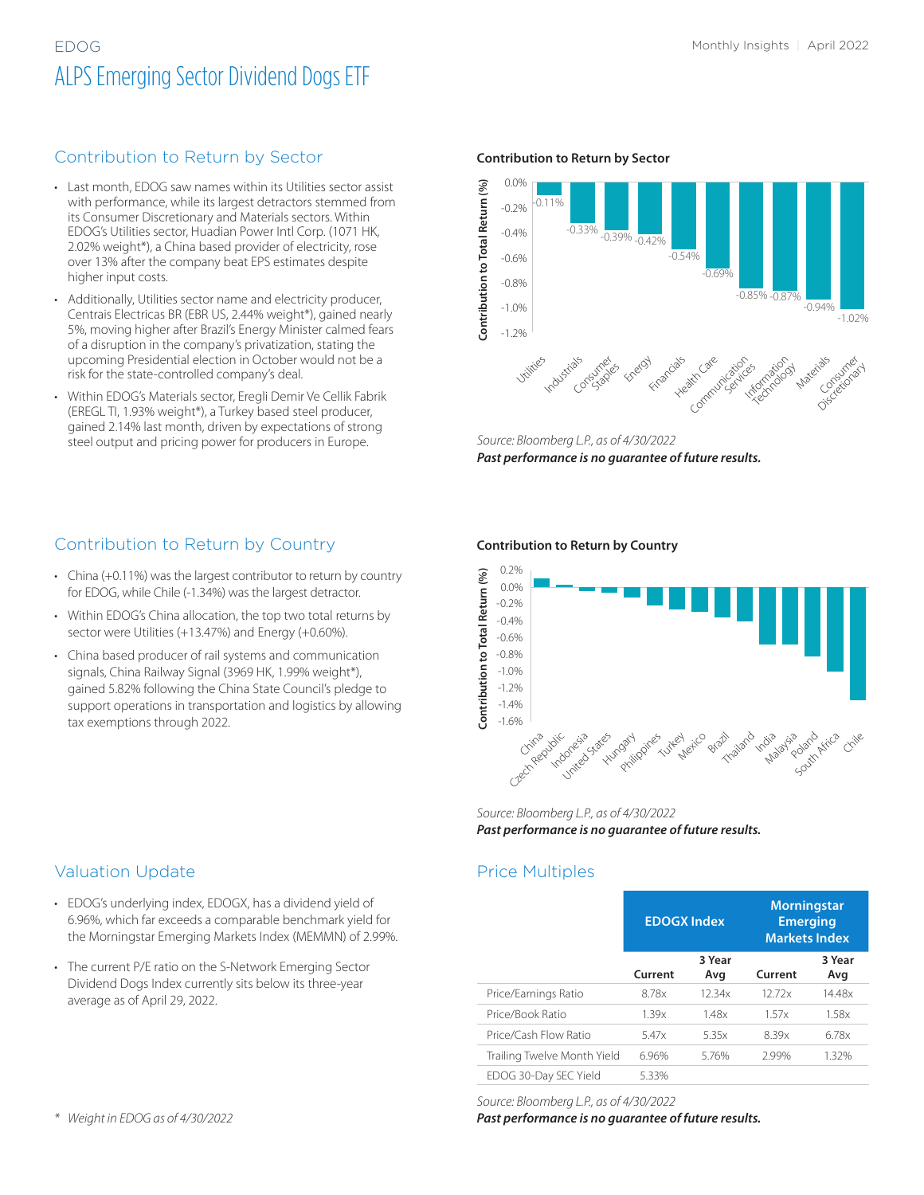# EDOG Monthly Insights | April 2022 ALPS Emerging Sector Dividend Dogs ETF

#### Contribution to Return by Sector

- Last month, EDOG saw names within its Utilities sector assist with performance, while its largest detractors stemmed from its Consumer Discretionary and Materials sectors. Within EDOG's Utilities sector, Huadian Power Intl Corp. (1071 HK, 2.02% weight\*), a China based provider of electricity, rose over 13% after the company beat EPS estimates despite higher input costs.
- Additionally, Utilities sector name and electricity producer, Centrais Electricas BR (EBR US, 2.44% weight\*), gained nearly 5%, moving higher after Brazil's Energy Minister calmed fears of a disruption in the company's privatization, stating the upcoming Presidential election in October would not be a risk for the state-controlled company's deal.
- Within EDOG's Materials sector, Eregli Demir Ve Cellik Fabrik (EREGL TI, 1.93% weight\*), a Turkey based steel producer, gained 2.14% last month, driven by expectations of strong steel output and pricing power for producers in Europe.

#### **Contribution to Return by Sector**



*Source: Bloomberg L.P., as of 4/30/2022 Past performance is no guarantee of future results.*

## Contribution to Return by Country

- China (+0.11%) was the largest contributor to return by country for EDOG, while Chile (-1.34%) was the largest detractor.
- Within EDOG's China allocation, the top two total returns by sector were Utilities (+13.47%) and Energy (+0.60%).
- China based producer of rail systems and communication signals, China Railway Signal (3969 HK, 1.99% weight\*), gained 5.82% following the China State Council's pledge to support operations in transportation and logistics by allowing tax exemptions through 2022.

#### **Contribution to Return by Country**



*Source: Bloomberg L.P., as of 4/30/2022 Past performance is no guarantee of future results.*

#### Price Multiples

|                             | <b>EDOGX Index</b> |               | <b>Morningstar</b><br><b>Emerging</b><br><b>Markets Index</b> |               |  |  |
|-----------------------------|--------------------|---------------|---------------------------------------------------------------|---------------|--|--|
|                             | Current            | 3 Year<br>Avg | Current                                                       | 3 Year<br>Avg |  |  |
| Price/Earnings Ratio        | 8.78x              | 12.34x        | 12.72x                                                        | 14.48x        |  |  |
| Price/Book Ratio            | 1.39x              | 1.48x         | 1.57x                                                         | 1.58x         |  |  |
| Price/Cash Flow Ratio       | 5.47x              | 5.35x         | 8.39x                                                         | 6.78x         |  |  |
| Trailing Twelve Month Yield | 6.96%              | 5.76%         | 2.99%                                                         | 1.32%         |  |  |
| EDOG 30-Day SEC Yield       | 5.33%              |               |                                                               |               |  |  |

*Source: Bloomberg L.P., as of 4/30/2022*

*Past performance is no guarantee of future results.*

#### Valuation Update

- EDOG's underlying index, EDOGX, has a dividend yield of 6.96%, which far exceeds a comparable benchmark yield for the Morningstar Emerging Markets Index (MEMMN) of 2.99%.
- The current P/E ratio on the S-Network Emerging Sector Dividend Dogs Index currently sits below its three-year average as of April 29, 2022.

*\* Weight in EDOG as of 4/30/2022*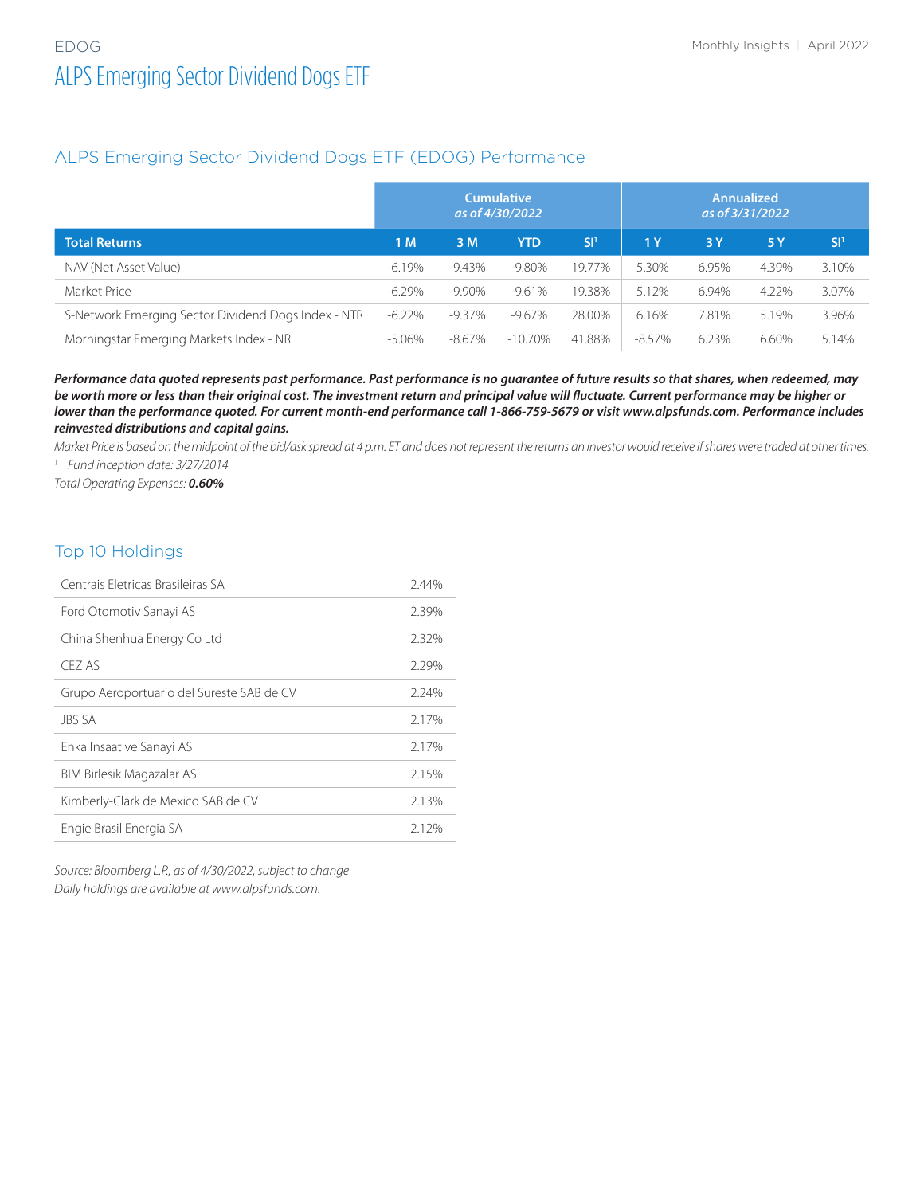#### ALPS Emerging Sector Dividend Dogs ETF (EDOG) Performance

|                                                     | <b>Cumulative</b><br>as of 4/30/2022 |           |            | <b>Annualized</b><br>as of 3/31/2022 |        |       |       |                 |
|-----------------------------------------------------|--------------------------------------|-----------|------------|--------------------------------------|--------|-------|-------|-----------------|
| <b>Total Returns</b>                                | 1 M                                  | 3M        | <b>YTD</b> | SI <sup>1</sup>                      | 1Y     | 3Y    | 5 Y   | SI <sup>1</sup> |
| NAV (Net Asset Value)                               | $-6.19%$                             | $-9.43\%$ | -9.80%     | 19.77%                               | 5.30%  | 6.95% | 4.39% | 3.10%           |
| Market Price                                        | $-6.29%$                             | -9.90%    | $-9.61\%$  | 19.38%                               | 5.12%  | 6.94% | 4.22% | 3.07%           |
| S-Network Emerging Sector Dividend Dogs Index - NTR | $-6.22\%$                            | $-9.37\%$ | -9.67%     | 28.00%                               | 6.16%  | 7.81% | 5.19% | 3.96%           |
| Morningstar Emerging Markets Index - NR             | $-5.06\%$                            | -8.67%    | $-10.70\%$ | 41.88%                               | -8.57% | 6.23% | 6.60% | 5.14%           |

*Performance data quoted represents past performance. Past performance is no guarantee of future results so that shares, when redeemed, may be worth more or less than their original cost. The investment return and principal value will fluctuate. Current performance may be higher or lower than the performance quoted. For current month-end performance call 1-866-759-5679 or visit www.alpsfunds.com. Performance includes reinvested distributions and capital gains.*

*Market Price is based on the midpoint of the bid/ask spread at 4 p.m. ET and does not represent the returns an investor would receive if shares were traded at other times. <sup>1</sup> Fund inception date: 3/27/2014*

*Total Operating Expenses: 0.60%*

#### Top 10 Holdings

| Centrais Eletricas Brasileiras SA         | 2.44% |
|-------------------------------------------|-------|
| Ford Otomotiv Sanayi AS                   | 2.39% |
| China Shenhua Energy Co Ltd               | 2.32% |
| CFZ AS                                    | 2.29% |
| Grupo Aeroportuario del Sureste SAB de CV | 2.24% |
| <b>JBS SA</b>                             | 2.17% |
| Enka Insaat ve Sanayi AS                  | 2.17% |
| BIM Birlesik Magazalar AS                 | 2.15% |
| Kimberly-Clark de Mexico SAB de CV        | 2.13% |
| Engie Brasil Energia SA                   | 2.12% |

*Source: Bloomberg L.P., as of 4/30/2022, subject to change Daily holdings are available at www.alpsfunds.com.*